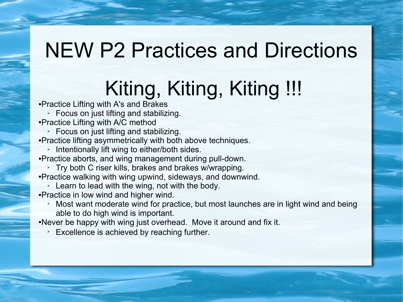## NEW P2 Practices and Directions

# Kiting, Kiting, Kiting !!!

●Practice Lifting with A's and Brakes

- ➢ Focus on just lifting and stabilizing.
- ●Practice Lifting with A/C method
- $\triangleright$  Focus on just lifting and stabilizing.
- ●Practice lifting asymmetrically with both above techniques.
	- ➢ Intentionally lift wing to either/both sides.
- ●Practice aborts, and wing management during pull-down.
- ➢ Try both C riser kills, brakes and brakes w/wrapping. ●Practice walking with wing upwind, sideways, and downwind.
- $\geq$  Learn to lead with the wing, not with the body.
- ●Practice in low wind and higher wind.
	- $\rightarrow$  Most want moderate wind for practice, but most launches are in light wind and being able to do high wind is important.

•Never be happy with wing just overhead. Move it around and fix it.

 $\geq$  Excellence is achieved by reaching further.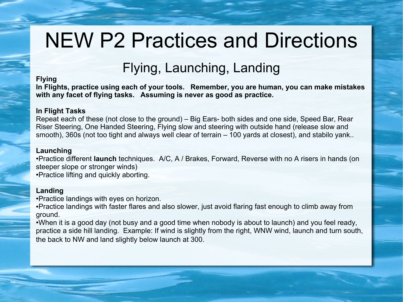# NEW P2 Practices and Directions

### Flying, Launching, Landing

#### **Flying**

**In Flights, practice using each of your tools. Remember, you are human, you can make mistakes with any facet of flying tasks. Assuming is never as good as practice.**

#### **In Flight Tasks**

Repeat each of these (not close to the ground) – Big Ears- both sides and one side, Speed Bar, Rear Riser Steering, One Handed Steering, Flying slow and steering with outside hand (release slow and smooth), 360s (not too tight and always well clear of terrain – 100 yards at closest), and stabilo yank..

#### **Launching**

●Practice different **launch** techniques. A/C, A / Brakes, Forward, Reverse with no A risers in hands (on steeper slope or stronger winds) ●Practice lifting and quickly aborting.

#### **Landing**

●Practice landings with eyes on horizon.

• Practice landings with faster flares and also slower, just avoid flaring fast enough to climb away from ground.

•When it is a good day (not busy and a good time when nobody is about to launch) and you feel ready, practice a side hill landing. Example: If wind is slightly from the right, WNW wind, launch and turn south, the back to NW and land slightly below launch at 300.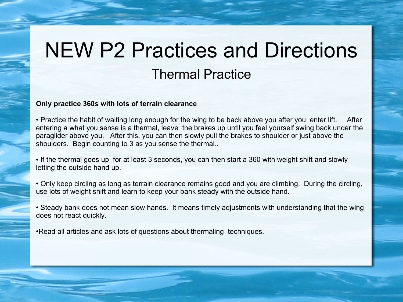### NEW P2 Practices and Directions Thermal Practice

#### **Only practice 360s with lots of terrain clearance**

• Practice the habit of waiting long enough for the wing to be back above you after you enter lift. After entering a what you sense is a thermal, leave the brakes up until you feel yourself swing back under the paraglider above you. After this, you can then slowly pull the brakes to shoulder or just above the shoulders. Begin counting to 3 as you sense the thermal..

• If the thermal goes up for at least 3 seconds, you can then start a 360 with weight shift and slowly letting the outside hand up.

• Only keep circling as long as terrain clearance remains good and you are climbing. During the circling, use lots of weight shift and learn to keep your bank steady with the outside hand.

• Steady bank does not mean slow hands. It means timely adjustments with understanding that the wing does not react quickly.

• Read all articles and ask lots of questions about thermaling techniques.